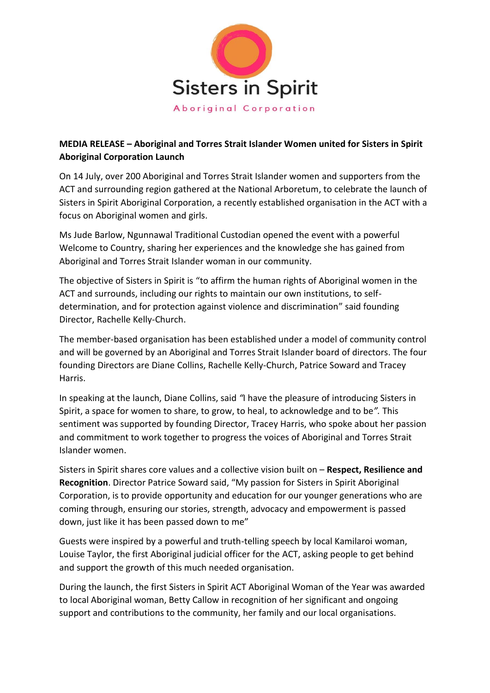

## **MEDIA RELEASE – Aboriginal and Torres Strait Islander Women united for Sisters in Spirit Aboriginal Corporation Launch**

On 14 July, over 200 Aboriginal and Torres Strait Islander women and supporters from the ACT and surrounding region gathered at the National Arboretum, to celebrate the launch of Sisters in Spirit Aboriginal Corporation, a recently established organisation in the ACT with a focus on Aboriginal women and girls.

Ms Jude Barlow, Ngunnawal Traditional Custodian opened the event with a powerful Welcome to Country, sharing her experiences and the knowledge she has gained from Aboriginal and Torres Strait Islander woman in our community.

The objective of Sisters in Spirit is "to affirm the human rights of Aboriginal women in the ACT and surrounds, including our rights to maintain our own institutions, to selfdetermination, and for protection against violence and discrimination" said founding Director, Rachelle Kelly-Church.

The member-based organisation has been established under a model of community control and will be governed by an Aboriginal and Torres Strait Islander board of directors. The four founding Directors are Diane Collins, Rachelle Kelly-Church, Patrice Soward and Tracey Harris.

In speaking at the launch, Diane Collins, said *"*I have the pleasure of introducing Sisters in Spirit, a space for women to share, to grow, to heal, to acknowledge and to be*".* This sentiment was supported by founding Director, Tracey Harris, who spoke about her passion and commitment to work together to progress the voices of Aboriginal and Torres Strait Islander women.

Sisters in Spirit shares core values and a collective vision built on – **Respect, Resilience and Recognition**. Director Patrice Soward said, "My passion for Sisters in Spirit Aboriginal Corporation, is to provide opportunity and education for our younger generations who are coming through, ensuring our stories, strength, advocacy and empowerment is passed down, just like it has been passed down to me"

Guests were inspired by a powerful and truth-telling speech by local Kamilaroi woman, Louise Taylor, the first Aboriginal judicial officer for the ACT, asking people to get behind and support the growth of this much needed organisation.

During the launch, the first Sisters in Spirit ACT Aboriginal Woman of the Year was awarded to local Aboriginal woman, Betty Callow in recognition of her significant and ongoing support and contributions to the community, her family and our local organisations.